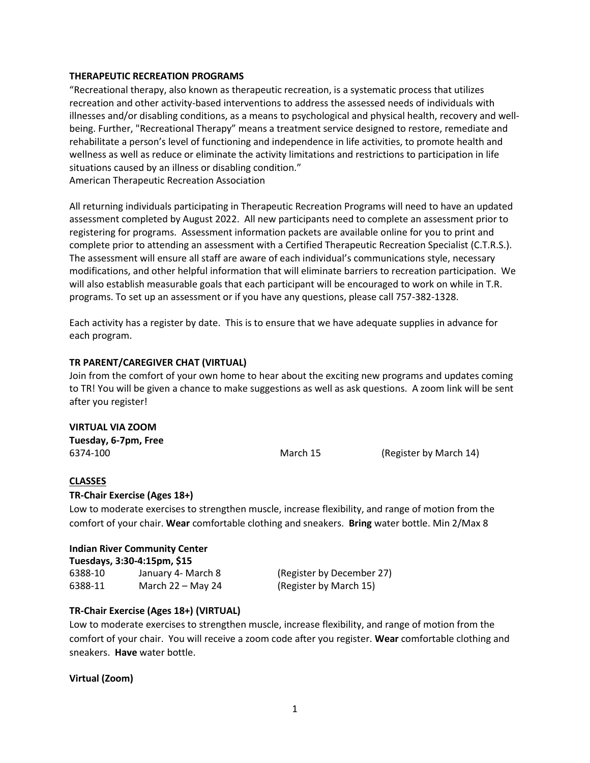## **THERAPEUTIC RECREATION PROGRAMS**

"Recreational therapy, also known as therapeutic recreation, is a systematic process that utilizes recreation and other activity-based interventions to address the assessed needs of individuals with illnesses and/or disabling conditions, as a means to psychological and physical health, recovery and wellbeing. Further, "Recreational Therapy" means a treatment service designed to restore, remediate and rehabilitate a person's level of functioning and independence in life activities, to promote health and wellness as well as reduce or eliminate the activity limitations and restrictions to participation in life situations caused by an illness or disabling condition." American Therapeutic Recreation Association

All returning individuals participating in Therapeutic Recreation Programs will need to have an updated assessment completed by August 2022. All new participants need to complete an assessment prior to registering for programs. Assessment information packets are available online for you to print and complete prior to attending an assessment with a Certified Therapeutic Recreation Specialist (C.T.R.S.). The assessment will ensure all staff are aware of each individual's communications style, necessary modifications, and other helpful information that will eliminate barriers to recreation participation. We will also establish measurable goals that each participant will be encouraged to work on while in T.R. programs. To set up an assessment or if you have any questions, please call 757-382-1328.

Each activity has a register by date. This is to ensure that we have adequate supplies in advance for each program.

## **TR PARENT/CAREGIVER CHAT (VIRTUAL)**

Join from the comfort of your own home to hear about the exciting new programs and updates coming to TR! You will be given a chance to make suggestions as well as ask questions. A zoom link will be sent after you register!

#### **VIRTUAL VIA ZOOM**

**Tuesday, 6-7pm, Free** 6374-100 March 15 (Register by March 14)

#### **CLASSES**

#### **TR-Chair Exercise (Ages 18+)**

Low to moderate exercises to strengthen muscle, increase flexibility, and range of motion from the comfort of your chair. **Wear** comfortable clothing and sneakers. **Bring** water bottle. Min 2/Max 8

| <b>Indian River Community Center</b><br>Tuesdays, 3:30-4:15pm, \$15 |                     |                           |  |  |
|---------------------------------------------------------------------|---------------------|---------------------------|--|--|
| 6388-10                                                             | January 4- March 8  | (Register by December 27) |  |  |
| 6388-11                                                             | March $22 -$ May 24 | (Register by March 15)    |  |  |

#### **TR-Chair Exercise (Ages 18+) (VIRTUAL)**

Low to moderate exercises to strengthen muscle, increase flexibility, and range of motion from the comfort of your chair. You will receive a zoom code after you register. **Wear** comfortable clothing and sneakers. **Have** water bottle.

#### **Virtual (Zoom)**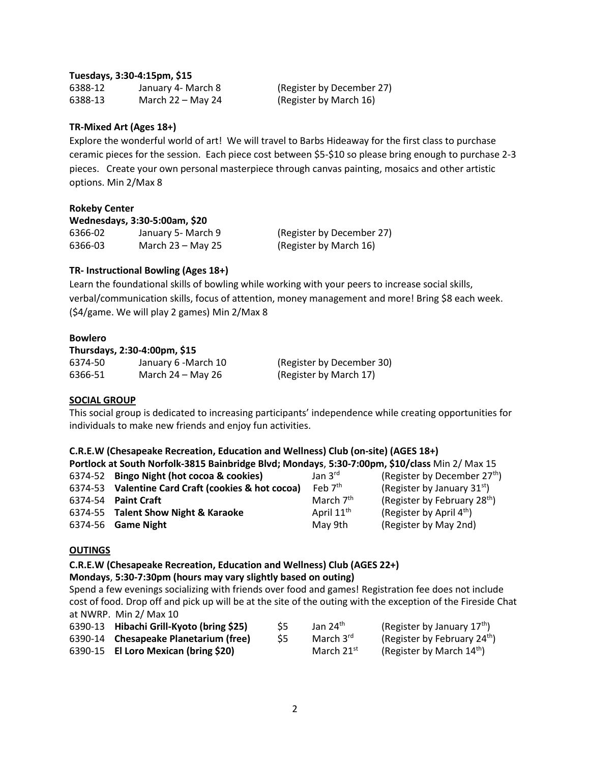# **Tuesdays, 3:30-4:15pm, \$15**

6388-12 January 4- March 8 (Register by December 27) 6388-13 March 22 – May 24 (Register by March 16)

# **TR-Mixed Art (Ages 18+)**

Explore the wonderful world of art! We will travel to Barbs Hideaway for the first class to purchase ceramic pieces for the session. Each piece cost between \$5-\$10 so please bring enough to purchase 2-3 pieces. Create your own personal masterpiece through canvas painting, mosaics and other artistic options. Min 2/Max 8

## **Rokeby Center**

**Wednesdays, 3:30-5:00am, \$20**

6366-02 January 5- March 9 (Register by December 27) 6366-03 March 23 – May 25 (Register by March 16)

# **TR- Instructional Bowling (Ages 18+)**

Learn the foundational skills of bowling while working with your peers to increase social skills, verbal/communication skills, focus of attention, money management and more! Bring \$8 each week. (\$4/game. We will play 2 games) Min 2/Max 8

## **Bowlero**

## **Thursdays, 2:30-4:00pm, \$15**

6374-50 January 6 -March 10 (Register by December 30) 6366-51 March 24 – May 26 (Register by March 17)

# **SOCIAL GROUP**

This social group is dedicated to increasing participants' independence while creating opportunities for individuals to make new friends and enjoy fun activities.

**Portlock at South Norfolk-3815 Bainbridge Blvd; Mondays**, **5:30-7:00pm, \$10/class** Min 2/ Max 15

| 6374-52 Bingo Night (hot cocoa & cookies)          | Jan $3^{\text{rd}}$    | (Register by December 27 <sup>th</sup> ) |
|----------------------------------------------------|------------------------|------------------------------------------|
| 6374-53 Valentine Card Craft (cookies & hot cocoa) | Feb $7th$              | (Register by January $31st$ )            |
| 6374-54 Paint Craft                                | March $7th$            | (Register by February 28 <sup>th</sup> ) |
| 6374-55 Talent Show Night & Karaoke                | April 11 <sup>th</sup> | (Register by April 4 <sup>th</sup> )     |
| 6374-56 <b>Game Night</b>                          | May 9th                | (Register by May 2nd)                    |

# **OUTINGS**

**C.R.E.W (Chesapeake Recreation, Education and Wellness) Club (AGES 22+)** 

# **Mondays**, **5:30-7:30pm (hours may vary slightly based on outing)**

Spend a few evenings socializing with friends over food and games! Registration fee does not include cost of food. Drop off and pick up will be at the site of the outing with the exception of the Fireside Chat at NWRP. Min 2/ Max 10

| 6390-13 Hibachi Grill-Kyoto (bring \$25) |     | Jan $24th$            | (Register by January $17th$ )            |
|------------------------------------------|-----|-----------------------|------------------------------------------|
| 6390-14 Chesapeake Planetarium (free)    | -S5 | March $3^{\text{rd}}$ | (Register by February 24 <sup>th</sup> ) |
| 6390-15 El Loro Mexican (bring \$20)     |     | March $21^{st}$       | (Register by March 14 <sup>th</sup> )    |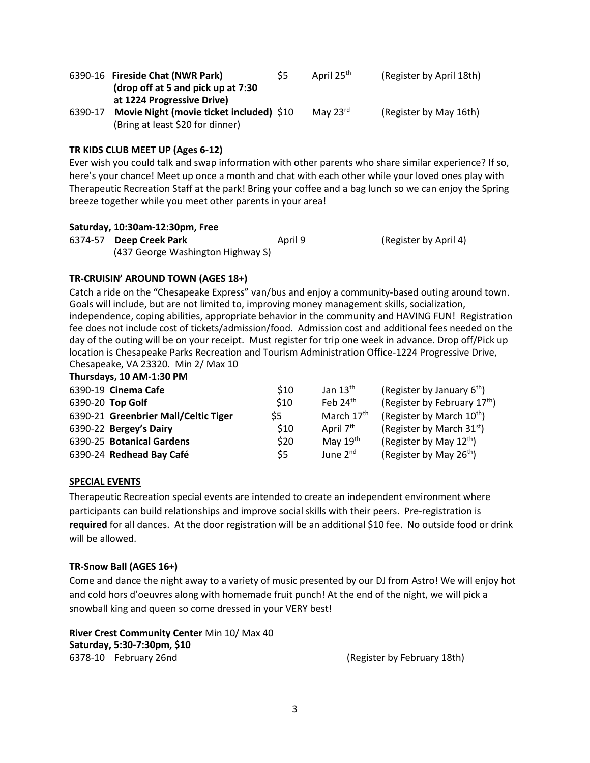|         | 6390-16 Fireside Chat (NWR Park)         | S5 | April 25 <sup>th</sup> | (Register by April 18th) |
|---------|------------------------------------------|----|------------------------|--------------------------|
|         | (drop off at 5 and pick up at 7:30)      |    |                        |                          |
|         | at 1224 Progressive Drive)               |    |                        |                          |
| 6390-17 | Movie Night (movie ticket included) \$10 |    | May $23^{\text{rd}}$   | (Register by May 16th)   |
|         | (Bring at least \$20 for dinner)         |    |                        |                          |

# **TR KIDS CLUB MEET UP (Ages 6-12)**

Ever wish you could talk and swap information with other parents who share similar experience? If so, here's your chance! Meet up once a month and chat with each other while your loved ones play with Therapeutic Recreation Staff at the park! Bring your coffee and a bag lunch so we can enjoy the Spring breeze together while you meet other parents in your area!

## **Saturday, 10:30am-12:30pm, Free**

6374-57 **Deep Creek Park** April 9 (Register by April 4) (437 George Washington Highway S)

# **TR-CRUISIN' AROUND TOWN (AGES 18+)**

Catch a ride on the "Chesapeake Express" van/bus and enjoy a community-based outing around town. Goals will include, but are not limited to, improving money management skills, socialization, independence, coping abilities, appropriate behavior in the community and HAVING FUN! Registration fee does not include cost of tickets/admission/food. Admission cost and additional fees needed on the day of the outing will be on your receipt. Must register for trip one week in advance. Drop off/Pick up location is Chesapeake Parks Recreation and Tourism Administration Office-1224 Progressive Drive, Chesapeake, VA 23320. Min 2/ Max 10

#### **Thursdays, 10 AM-1:30 PM**

| 6390-19 Cinema Cafe                  | \$10 | Jan $13th$             | (Register by January $6th$ )             |
|--------------------------------------|------|------------------------|------------------------------------------|
| 6390-20 Top Golf                     | \$10 | Feb $24th$             | (Register by February 17 <sup>th</sup> ) |
| 6390-21 Greenbrier Mall/Celtic Tiger | \$5  | March 17 <sup>th</sup> | (Register by March 10 <sup>th</sup> )    |
| 6390-22 Bergey's Dairy               | \$10 | April 7 <sup>th</sup>  | (Register by March 31 <sup>st</sup> )    |
| 6390-25 Botanical Gardens            | \$20 | May $19th$             | (Register by May $12^{th}$ )             |
| 6390-24 Redhead Bay Café             | \$5  | June $2^{nd}$          | (Register by May $26^{th}$ )             |
|                                      |      |                        |                                          |

# **SPECIAL EVENTS**

Therapeutic Recreation special events are intended to create an independent environment where participants can build relationships and improve social skills with their peers. Pre-registration is **required** for all dances. At the door registration will be an additional \$10 fee. No outside food or drink will be allowed.

# **TR-Snow Ball (AGES 16+)**

Come and dance the night away to a variety of music presented by our DJ from Astro! We will enjoy hot and cold hors d'oeuvres along with homemade fruit punch! At the end of the night, we will pick a snowball king and queen so come dressed in your VERY best!

**River Crest Community Center** Min 10/ Max 40 **Saturday, 5:30-7:30pm, \$10** 6378-10 February 26nd (Register by February 18th)